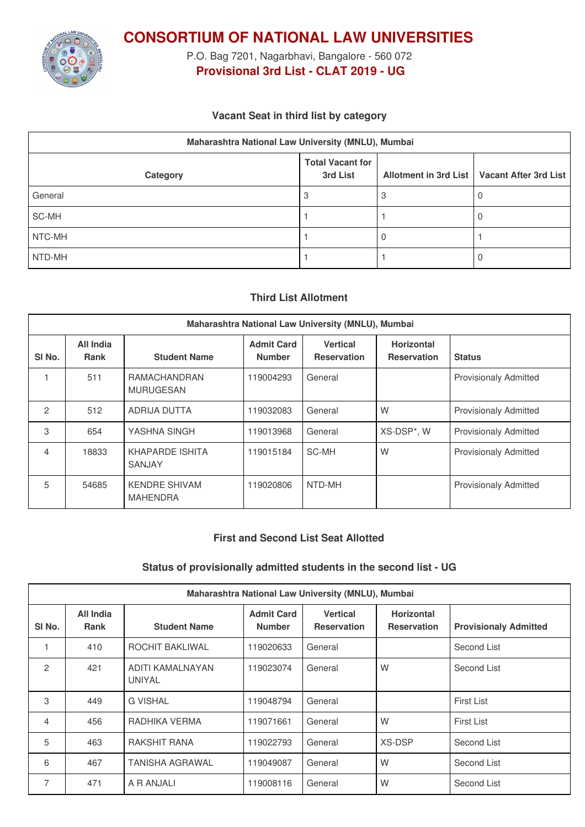

**CONSORTIUM OF NATIONAL LAW UNIVERSITIES**

P.O. Bag 7201, Nagarbhavi, Bangalore - 560 072 **Provisional 3rd List - CLAT 2019 - UG**

## **Vacant Seat in third list by category**

| Maharashtra National Law University (MNLU), Mumbai |                                     |  |                                               |  |  |  |
|----------------------------------------------------|-------------------------------------|--|-----------------------------------------------|--|--|--|
| Category                                           | <b>Total Vacant for</b><br>3rd List |  | Allotment in 3rd List   Vacant After 3rd List |  |  |  |
| General                                            |                                     |  |                                               |  |  |  |
| SC-MH                                              |                                     |  |                                               |  |  |  |
| NTC-MH                                             |                                     |  |                                               |  |  |  |
| NTD-MH                                             |                                     |  |                                               |  |  |  |

# **Third List Allotment**

| Maharashtra National Law University (MNLU), Mumbai |                          |                                         |                                    |                                       |                                         |                              |
|----------------------------------------------------|--------------------------|-----------------------------------------|------------------------------------|---------------------------------------|-----------------------------------------|------------------------------|
| SI <sub>No.</sub>                                  | All India<br><b>Rank</b> | <b>Student Name</b>                     | <b>Admit Card</b><br><b>Number</b> | <b>Vertical</b><br><b>Reservation</b> | <b>Horizontal</b><br><b>Reservation</b> | <b>Status</b>                |
|                                                    | 511                      | RAMACHANDRAN<br><b>MURUGESAN</b>        | 119004293                          | General                               |                                         | <b>Provisionaly Admitted</b> |
| $\mathfrak{p}$                                     | 512                      | <b>ADRIJA DUTTA</b>                     | 119032083                          | General                               | W                                       | <b>Provisionaly Admitted</b> |
| 3                                                  | 654                      | YASHNA SINGH                            | 119013968                          | General                               | XS-DSP*, W                              | <b>Provisionaly Admitted</b> |
| 4                                                  | 18833                    | KHAPARDE ISHITA<br><b>SANJAY</b>        | 119015184                          | SC-MH                                 | W                                       | <b>Provisionaly Admitted</b> |
| 5                                                  | 54685                    | <b>KENDRE SHIVAM</b><br><b>MAHENDRA</b> | 119020806                          | NTD-MH                                |                                         | <b>Provisionaly Admitted</b> |

#### **First and Second List Seat Allotted**

### **Status of provisionally admitted students in the second list - UG**

| Maharashtra National Law University (MNLU), Mumbai |                          |                            |                                    |                                       |                                         |                              |
|----------------------------------------------------|--------------------------|----------------------------|------------------------------------|---------------------------------------|-----------------------------------------|------------------------------|
| SI No.                                             | <b>All India</b><br>Rank | <b>Student Name</b>        | <b>Admit Card</b><br><b>Number</b> | <b>Vertical</b><br><b>Reservation</b> | <b>Horizontal</b><br><b>Reservation</b> | <b>Provisionaly Admitted</b> |
|                                                    | 410                      | ROCHIT BAKLIWAL            | 119020633                          | General                               |                                         | Second List                  |
| $\mathfrak{p}$                                     | 421                      | ADITI KAMALNAYAN<br>UNIYAL | 119023074                          | General                               | W                                       | Second List                  |
| 3                                                  | 449                      | <b>G VISHAL</b>            | 119048794                          | General                               |                                         | First List                   |
| 4                                                  | 456                      | RADHIKA VERMA              | 119071661                          | General                               | W                                       | <b>First List</b>            |
| 5                                                  | 463                      | <b>RAKSHIT RANA</b>        | 119022793                          | General                               | <b>XS-DSP</b>                           | Second List                  |
| 6                                                  | 467                      | TANISHA AGRAWAL            | 119049087                          | General                               | W                                       | Second List                  |
| 7                                                  | 471                      | A R ANJALI                 | 119008116                          | General                               | W                                       | Second List                  |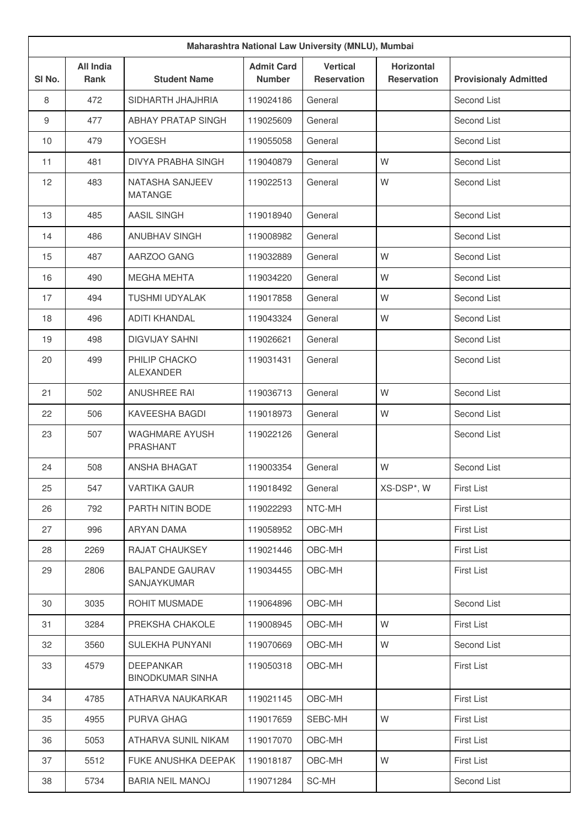| Maharashtra National Law University (MNLU), Mumbai |                                 |                                             |                                    |                                       |                                         |                              |
|----------------------------------------------------|---------------------------------|---------------------------------------------|------------------------------------|---------------------------------------|-----------------------------------------|------------------------------|
| SI No.                                             | <b>All India</b><br><b>Rank</b> | <b>Student Name</b>                         | <b>Admit Card</b><br><b>Number</b> | <b>Vertical</b><br><b>Reservation</b> | <b>Horizontal</b><br><b>Reservation</b> | <b>Provisionaly Admitted</b> |
| 8                                                  | 472                             | SIDHARTH JHAJHRIA                           | 119024186                          | General                               |                                         | Second List                  |
| 9                                                  | 477                             | ABHAY PRATAP SINGH                          | 119025609                          | General                               |                                         | Second List                  |
| 10                                                 | 479                             | YOGESH                                      | 119055058                          | General                               |                                         | Second List                  |
| 11                                                 | 481                             | <b>DIVYA PRABHA SINGH</b>                   | 119040879                          | General                               | W                                       | Second List                  |
| 12                                                 | 483                             | <b>NATASHA SANJEEV</b><br><b>MATANGE</b>    | 119022513                          | General                               | W                                       | Second List                  |
| 13                                                 | 485                             | <b>AASIL SINGH</b>                          | 119018940                          | General                               |                                         | Second List                  |
| 14                                                 | 486                             | <b>ANUBHAV SINGH</b>                        | 119008982                          | General                               |                                         | Second List                  |
| 15                                                 | 487                             | AARZOO GANG                                 | 119032889                          | General                               | W                                       | Second List                  |
| 16                                                 | 490                             | <b>MEGHA MEHTA</b>                          | 119034220                          | General                               | W                                       | Second List                  |
| 17                                                 | 494                             | <b>TUSHMI UDYALAK</b>                       | 119017858                          | General                               | W                                       | Second List                  |
| 18                                                 | 496                             | <b>ADITI KHANDAL</b>                        | 119043324                          | General                               | W                                       | Second List                  |
| 19                                                 | 498                             | <b>DIGVIJAY SAHNI</b>                       | 119026621                          | General                               |                                         | Second List                  |
| 20                                                 | 499                             | PHILIP CHACKO<br><b>ALEXANDER</b>           | 119031431                          | General                               |                                         | Second List                  |
| 21                                                 | 502                             | ANUSHREE RAI                                | 119036713                          | General                               | W                                       | Second List                  |
| 22                                                 | 506                             | <b>KAVEESHA BAGDI</b>                       | 119018973                          | General                               | W                                       | Second List                  |
| 23                                                 | 507                             | <b>WAGHMARE AYUSH</b><br>PRASHANT           | 119022126                          | General                               |                                         | Second List                  |
| 24                                                 | 508                             | <b>ANSHA BHAGAT</b>                         | 119003354                          | General                               | W                                       | Second List                  |
| 25                                                 | 547                             | <b>VARTIKA GAUR</b>                         | 119018492                          | General                               | XS-DSP*, W                              | <b>First List</b>            |
| 26                                                 | 792                             | PARTH NITIN BODE                            | 119022293                          | NTC-MH                                |                                         | <b>First List</b>            |
| 27                                                 | 996                             | ARYAN DAMA                                  | 119058952                          | OBC-MH                                |                                         | <b>First List</b>            |
| 28                                                 | 2269                            | RAJAT CHAUKSEY                              | 119021446                          | OBC-MH                                |                                         | <b>First List</b>            |
| 29                                                 | 2806                            | <b>BALPANDE GAURAV</b><br>SANJAYKUMAR       | 119034455                          | OBC-MH                                |                                         | First List                   |
| 30                                                 | 3035                            | ROHIT MUSMADE                               | 119064896                          | OBC-MH                                |                                         | Second List                  |
| 31                                                 | 3284                            | PREKSHA CHAKOLE                             | 119008945                          | OBC-MH                                | W                                       | <b>First List</b>            |
| 32                                                 | 3560                            | SULEKHA PUNYANI                             | 119070669                          | OBC-MH                                | W                                       | Second List                  |
| 33                                                 | 4579                            | <b>DEEPANKAR</b><br><b>BINODKUMAR SINHA</b> | 119050318                          | OBC-MH                                |                                         | <b>First List</b>            |
| 34                                                 | 4785                            | ATHARVA NAUKARKAR                           | 119021145                          | OBC-MH                                |                                         | <b>First List</b>            |
| 35                                                 | 4955                            | PURVA GHAG                                  | 119017659                          | SEBC-MH                               | W                                       | <b>First List</b>            |
| 36                                                 | 5053                            | ATHARVA SUNIL NIKAM                         | 119017070                          | OBC-MH                                |                                         | <b>First List</b>            |
| 37                                                 | 5512                            | FUKE ANUSHKA DEEPAK                         | 119018187                          | OBC-MH                                | W                                       | <b>First List</b>            |
| 38                                                 | 5734                            | <b>BARIA NEIL MANOJ</b>                     | 119071284                          | SC-MH                                 |                                         | Second List                  |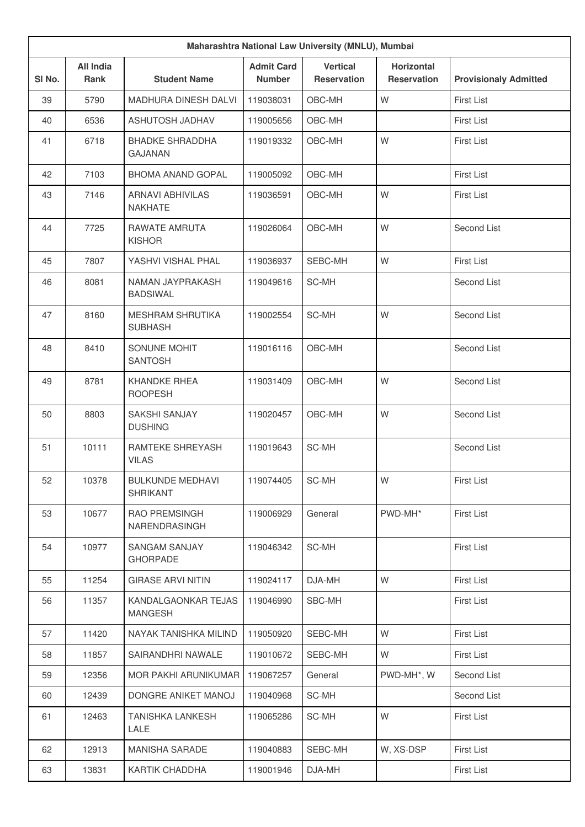| Maharashtra National Law University (MNLU), Mumbai |                                 |                                            |                                    |                                       |                                         |                              |  |
|----------------------------------------------------|---------------------------------|--------------------------------------------|------------------------------------|---------------------------------------|-----------------------------------------|------------------------------|--|
| SI No.                                             | <b>All India</b><br><b>Rank</b> | <b>Student Name</b>                        | <b>Admit Card</b><br><b>Number</b> | <b>Vertical</b><br><b>Reservation</b> | <b>Horizontal</b><br><b>Reservation</b> | <b>Provisionaly Admitted</b> |  |
| 39                                                 | 5790                            | <b>MADHURA DINESH DALVI</b>                | 119038031                          | OBC-MH                                | W                                       | <b>First List</b>            |  |
| 40                                                 | 6536                            | ASHUTOSH JADHAV                            | 119005656                          | OBC-MH                                |                                         | <b>First List</b>            |  |
| 41                                                 | 6718                            | <b>BHADKE SHRADDHA</b><br><b>GAJANAN</b>   | 119019332                          | OBC-MH                                | W                                       | <b>First List</b>            |  |
| 42                                                 | 7103                            | <b>BHOMA ANAND GOPAL</b>                   | 119005092                          | OBC-MH                                |                                         | <b>First List</b>            |  |
| 43                                                 | 7146                            | <b>ARNAVI ABHIVILAS</b><br><b>NAKHATE</b>  | 119036591                          | OBC-MH                                | W                                       | <b>First List</b>            |  |
| 44                                                 | 7725                            | RAWATE AMRUTA<br><b>KISHOR</b>             | 119026064                          | OBC-MH                                | W                                       | Second List                  |  |
| 45                                                 | 7807                            | YASHVI VISHAI PHAI                         | 119036937                          | SEBC-MH                               | W                                       | <b>First List</b>            |  |
| 46                                                 | 8081                            | NAMAN JAYPRAKASH<br><b>BADSIWAL</b>        | 119049616                          | SC-MH                                 |                                         | Second List                  |  |
| 47                                                 | 8160                            | <b>MESHRAM SHRUTIKA</b><br><b>SUBHASH</b>  | 119002554                          | SC-MH                                 | W                                       | Second List                  |  |
| 48                                                 | 8410                            | SONUNE MOHIT<br><b>SANTOSH</b>             | 119016116                          | OBC-MH                                |                                         | Second List                  |  |
| 49                                                 | 8781                            | <b>KHANDKE RHEA</b><br><b>ROOPESH</b>      | 119031409                          | OBC-MH                                | W                                       | Second List                  |  |
| 50                                                 | 8803                            | <b>SAKSHI SANJAY</b><br><b>DUSHING</b>     | 119020457                          | OBC-MH                                | W                                       | Second List                  |  |
| 51                                                 | 10111                           | RAMTEKE SHREYASH<br><b>VILAS</b>           | 119019643                          | SC-MH                                 |                                         | Second List                  |  |
| 52                                                 | 10378                           | <b>BULKUNDE MEDHAVI</b><br><b>SHRIKANT</b> | 119074405                          | SC-MH                                 | W                                       | First List                   |  |
| 53                                                 | 10677                           | RAO PREMSINGH<br>NARENDRASINGH             | 119006929                          | General                               | PWD-MH*                                 | <b>First List</b>            |  |
| 54                                                 | 10977                           | <b>SANGAM SANJAY</b><br><b>GHORPADE</b>    | 119046342                          | SC-MH                                 |                                         | First List                   |  |
| 55                                                 | 11254                           | <b>GIRASE ARVI NITIN</b>                   | 119024117                          | DJA-MH                                | W                                       | First List                   |  |
| 56                                                 | 11357                           | KANDALGAONKAR TEJAS<br><b>MANGESH</b>      | 119046990                          | SBC-MH                                |                                         | <b>First List</b>            |  |
| 57                                                 | 11420                           | NAYAK TANISHKA MILIND                      | 119050920                          | SEBC-MH                               | W                                       | <b>First List</b>            |  |
| 58                                                 | 11857                           | SAIRANDHRI NAWALE                          | 119010672                          | SEBC-MH                               | W                                       | <b>First List</b>            |  |
| 59                                                 | 12356                           | MOR PAKHI ARUNIKUMAR                       | 119067257                          | General                               | PWD-MH*, W                              | Second List                  |  |
| 60                                                 | 12439                           | DONGRE ANIKET MANOJ                        | 119040968                          | SC-MH                                 |                                         | Second List                  |  |
| 61                                                 | 12463                           | <b>TANISHKA LANKESH</b><br>LALE            | 119065286                          | SC-MH                                 | W                                       | <b>First List</b>            |  |
| 62                                                 | 12913                           | MANISHA SARADE                             | 119040883                          | SEBC-MH                               | W, XS-DSP                               | <b>First List</b>            |  |
| 63                                                 | 13831                           | KARTIK CHADDHA                             | 119001946                          | DJA-MH                                |                                         | <b>First List</b>            |  |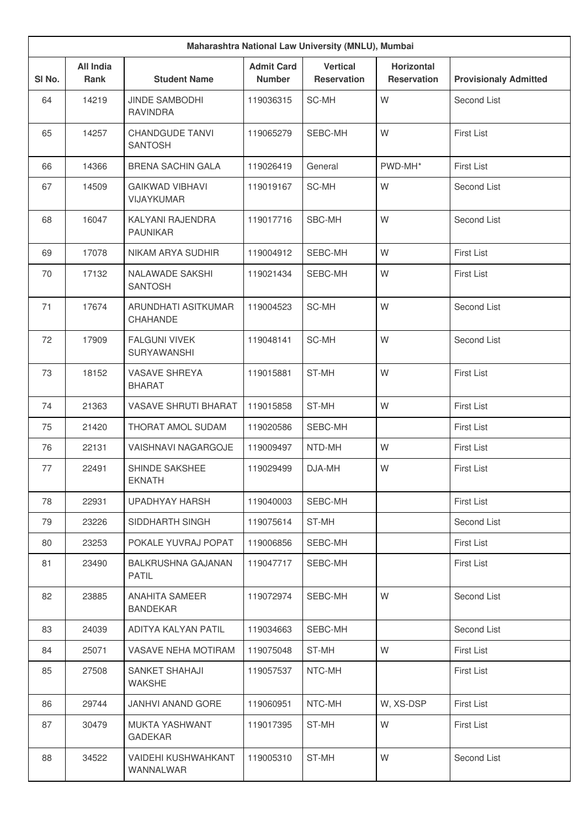| Maharashtra National Law University (MNLU), Mumbai |                          |                                             |                                    |                                       |                                         |                              |
|----------------------------------------------------|--------------------------|---------------------------------------------|------------------------------------|---------------------------------------|-----------------------------------------|------------------------------|
| SI No.                                             | <b>All India</b><br>Rank | <b>Student Name</b>                         | <b>Admit Card</b><br><b>Number</b> | <b>Vertical</b><br><b>Reservation</b> | <b>Horizontal</b><br><b>Reservation</b> | <b>Provisionaly Admitted</b> |
| 64                                                 | 14219                    | <b>JINDE SAMBODHI</b><br><b>RAVINDRA</b>    | 119036315                          | SC-MH                                 | W                                       | Second List                  |
| 65                                                 | 14257                    | <b>CHANDGUDE TANVI</b><br><b>SANTOSH</b>    | 119065279                          | SEBC-MH                               | W                                       | <b>First List</b>            |
| 66                                                 | 14366                    | <b>BRENA SACHIN GALA</b>                    | 119026419                          | General                               | PWD-MH*                                 | First List                   |
| 67                                                 | 14509                    | <b>GAIKWAD VIBHAVI</b><br><b>VIJAYKUMAR</b> | 119019167                          | SC-MH                                 | W                                       | Second List                  |
| 68                                                 | 16047                    | KALYANI RAJENDRA<br><b>PAUNIKAR</b>         | 119017716                          | SBC-MH                                | W                                       | Second List                  |
| 69                                                 | 17078                    | NIKAM ARYA SUDHIR                           | 119004912                          | SEBC-MH                               | W                                       | First List                   |
| 70                                                 | 17132                    | NALAWADE SAKSHI<br><b>SANTOSH</b>           | 119021434                          | SEBC-MH                               | W                                       | First List                   |
| 71                                                 | 17674                    | ARUNDHATI ASITKUMAR<br>CHAHANDE             | 119004523                          | SC-MH                                 | W                                       | Second List                  |
| 72                                                 | 17909                    | <b>FALGUNI VIVEK</b><br><b>SURYAWANSHI</b>  | 119048141                          | SC-MH                                 | W                                       | Second List                  |
| 73                                                 | 18152                    | <b>VASAVE SHREYA</b><br><b>BHARAT</b>       | 119015881                          | ST-MH                                 | W                                       | <b>First List</b>            |
| 74                                                 | 21363                    | <b>VASAVE SHRUTI BHARAT</b>                 | 119015858                          | ST-MH                                 | W                                       | <b>First List</b>            |
| 75                                                 | 21420                    | THORAT AMOL SUDAM                           | 119020586                          | SEBC-MH                               |                                         | First List                   |
| 76                                                 | 22131                    | VAISHNAVI NAGARGOJE                         | 119009497                          | NTD-MH                                | W                                       | First List                   |
| 77                                                 | 22491                    | SHINDE SAKSHEE<br><b>EKNATH</b>             | 119029499                          | DJA-MH                                | W                                       | First List                   |
| 78                                                 | 22931                    | UPADHYAY HARSH                              | 119040003                          | SEBC-MH                               |                                         | First List                   |
| 79                                                 | 23226                    | SIDDHARTH SINGH                             | 119075614                          | ST-MH                                 |                                         | Second List                  |
| 80                                                 | 23253                    | POKALE YUVRAJ POPAT                         | 119006856                          | SEBC-MH                               |                                         | First List                   |
| 81                                                 | 23490                    | <b>BALKRUSHNA GAJANAN</b><br><b>PATIL</b>   | 119047717                          | SEBC-MH                               |                                         | First List                   |
| 82                                                 | 23885                    | <b>ANAHITA SAMEER</b><br>BANDEKAR           | 119072974                          | SEBC-MH                               | W                                       | Second List                  |
| 83                                                 | 24039                    | ADITYA KALYAN PATIL                         | 119034663                          | SEBC-MH                               |                                         | Second List                  |
| 84                                                 | 25071                    | VASAVE NEHA MOTIRAM                         | 119075048                          | ST-MH                                 | W                                       | First List                   |
| 85                                                 | 27508                    | SANKET SHAHAJI<br><b>WAKSHE</b>             | 119057537                          | NTC-MH                                |                                         | <b>First List</b>            |
| 86                                                 | 29744                    | <b>JANHVI ANAND GORE</b>                    | 119060951                          | NTC-MH                                | W, XS-DSP                               | First List                   |
| 87                                                 | 30479                    | <b>MUKTA YASHWANT</b><br><b>GADEKAR</b>     | 119017395                          | ST-MH                                 | W                                       | First List                   |
| 88                                                 | 34522                    | VAIDEHI KUSHWAHKANT<br>WANNALWAR            | 119005310                          | ST-MH                                 | W                                       | Second List                  |